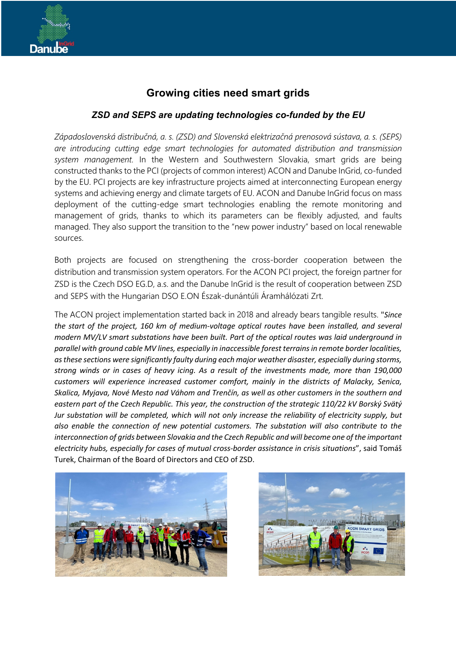## **Growing cities need smart grids**

## *ZSD and SEPS are updating technologies co-funded by the EU*

*Západoslovenská distribučná, a. s. (ZSD) and Slovenská elektrizačná prenosová sústava, a. s. (SEPS) are introducing cutting edge smart technologies for automated distribution and transmission system management.* In the Western and Southwestern Slovakia, smart grids are being constructed thanks to the PCI (projects of common interest) ACON and Danube InGrid, co-funded by the EU. PCI projects are key infrastructure projects aimed at interconnecting European energy systems and achieving energy and climate targets of EU. ACON and Danube InGrid focus on mass deployment of the cutting-edge smart technologies enabling the remote monitoring and management of grids, thanks to which its parameters can be flexibly adjusted, and faults managed. They also support the transition to the "new power industry" based on local renewable sources.

Both projects are focused on strengthening the cross-border cooperation between the distribution and transmission system operators. For the ACON PCI project, the foreign partner for ZSD is the Czech DSO EG.D, a.s. and the Danube InGrid is the result of cooperation between ZSD and SEPS with the Hungarian DSO E.ON Észak-dunántúli Áramhálózati Zrt.

The ACON project implementation started back in 2018 and already bears tangible results. "*Since the start of the project, 160 km of medium-voltage optical routes have been installed, and several modern MV/LV smart substations have been built. Part of the optical routes was laid underground in parallel with ground cable MV lines, especially in inaccessible forest terrains in remote border localities, as these sections were significantly faulty during each major weather disaster, especially during storms, strong winds or in cases of heavy icing. As a result of the investments made, more than 190,000 customers will experience increased customer comfort, mainly in the districts of Malacky, Senica, Skalica, Myjava, Nové Mesto nad Váhom and Trenčín, as well as other customers in the southern and eastern part of the Czech Republic. This year, the construction of the strategic 110/22 kV Borský Svätý Jur substation will be completed, which will not only increase the reliability of electricity supply, but also enable the connection of new potential customers. The substation will also contribute to the interconnection of grids between Slovakia and the Czech Republic and will become one of the important electricity hubs, especially for cases of mutual cross-border assistance in crisis situations*", said Tomáš Turek, Chairman of the Board of Directors and CEO of ZSD.



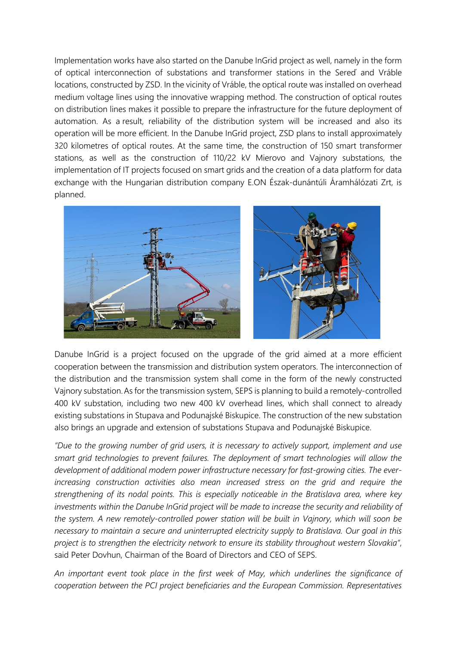Implementation works have also started on the Danube InGrid project as well, namely in the form of optical interconnection of substations and transformer stations in the Sereď and Vráble locations, constructed by ZSD. In the vicinity of Vráble, the optical route was installed on overhead medium voltage lines using the innovative wrapping method. The construction of optical routes on distribution lines makes it possible to prepare the infrastructure for the future deployment of automation. As a result, reliability of the distribution system will be increased and also its operation will be more efficient. In the Danube InGrid project, ZSD plans to install approximately 320 kilometres of optical routes. At the same time, the construction of 150 smart transformer stations, as well as the construction of 110/22 kV Mierovo and Vajnory substations, the implementation of IT projects focused on smart grids and the creation of a data platform for data exchange with the Hungarian distribution company E.ON Észak-dunántúli Áramhálózati Zrt, is planned.



Danube InGrid is a project focused on the upgrade of the grid aimed at a more efficient cooperation between the transmission and distribution system operators. The interconnection of the distribution and the transmission system shall come in the form of the newly constructed Vajnory substation.As for the transmission system, SEPS is planning to build a remotely-controlled 400 kV substation, including two new 400 kV overhead lines, which shall connect to already existing substations in Stupava and Podunajské Biskupice. The construction of the new substation also brings an upgrade and extension of substations Stupava and Podunajské Biskupice.

*"Due to the growing number of grid users, it is necessary to actively support, implement and use smart grid technologies to prevent failures. The deployment of smart technologies will allow the development of additional modern power infrastructure necessary for fast-growing cities. The everincreasing construction activities also mean increased stress on the grid and require the strengthening of its nodal points. This is especially noticeable in the Bratislava area, where key investments within the Danube InGrid project will be made to increase the security and reliability of the system. A new remotely-controlled power station will be built in Vajnory, which will soon be necessary to maintain a secure and uninterrupted electricity supply to Bratislava. Our goal in this project is to strengthen the electricity network to ensure its stability throughout western Slovakia"*, said Peter Dovhun, Chairman of the Board of Directors and CEO of SEPS.

*An important event took place in the first week of May, which underlines the significance of cooperation between the PCI project beneficiaries and the European Commission. Representatives*